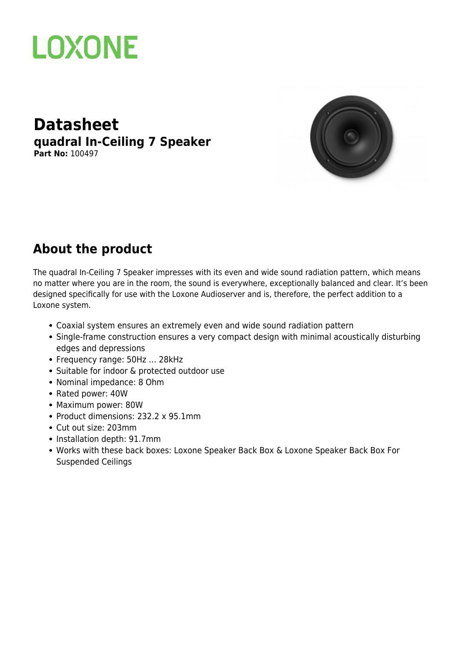

#### **Datasheet quadral In-Ceiling 7 Speaker Part No:** 100497



### **About the product**

The quadral In-Ceiling 7 Speaker impresses with its even and wide sound radiation pattern, which means no matter where you are in the room, the sound is everywhere, exceptionally balanced and clear. It's been designed specifically for use with the [Loxone Audioserver](https://datasheets.loxone.com/enuk/audioserver.html) and is, therefore, the perfect addition to a Loxone system.

- Coaxial system ensures an extremely even and wide sound radiation pattern
- Single-frame construction ensures a very compact design with minimal acoustically disturbing edges and depressions
- Frequency range: 50Hz … 28kHz
- Suitable for indoor & protected outdoor use
- Nominal impedance: 8 Ohm
- Rated power: 40W
- Maximum power: 80W
- Product dimensions: 232.2 x 95.1mm
- Cut out size: 203mm
- Installation depth: 91.7mm
- Works with these back boxes: [Loxone Speaker Back Box](https://datasheets.loxone.com/enuk/speaker-back-box.html) & [Loxone Speaker Back Box For](https://datasheets.loxone.com/enuk/speaker-back-box-mdf.html) [Suspended Ceilings](https://datasheets.loxone.com/enuk/speaker-back-box-mdf.html)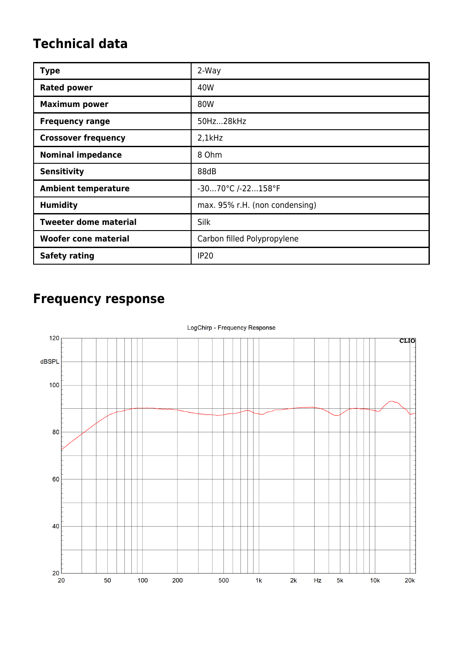### **Technical data**

| <b>Type</b>                  | 2-Way                          |
|------------------------------|--------------------------------|
| <b>Rated power</b>           | 40W                            |
| <b>Maximum power</b>         | 80W                            |
| <b>Frequency range</b>       | 50Hz28kHz                      |
| <b>Crossover frequency</b>   | $2,1$ kHz                      |
| <b>Nominal impedance</b>     | 8 Ohm                          |
| <b>Sensitivity</b>           | 88dB                           |
| <b>Ambient temperature</b>   | -3070°C /-22158°F              |
| <b>Humidity</b>              | max. 95% r.H. (non condensing) |
| <b>Tweeter dome material</b> | Silk                           |
| <b>Woofer cone material</b>  | Carbon filled Polypropylene    |
| <b>Safety rating</b>         | <b>IP20</b>                    |

## **Frequency response**

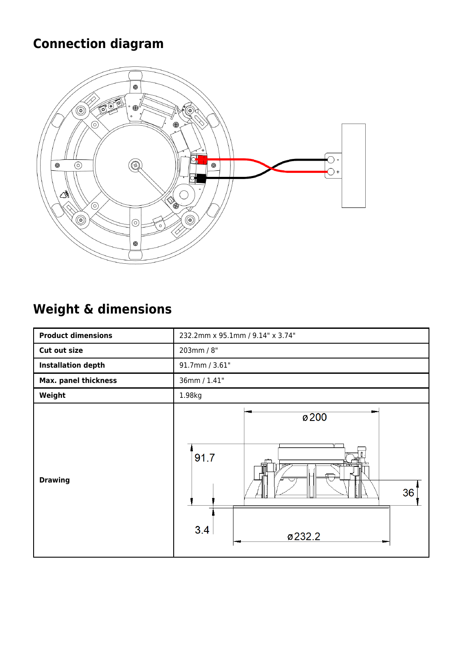## **Connection diagram**



## **Weight & dimensions**

| <b>Product dimensions</b> | 232.2mm x 95.1mm / 9.14" x 3.74"                     |
|---------------------------|------------------------------------------------------|
| Cut out size              | 203mm / 8"                                           |
| <b>Installation depth</b> | 91.7mm / 3.61"                                       |
| Max. panel thickness      | 36mm / 1.41"                                         |
| Weight                    | 1.98kg                                               |
| <b>Drawing</b>            | Ø <sub>200</sub><br>91.7<br>ᡤ<br>36<br>3.4<br>ø232.2 |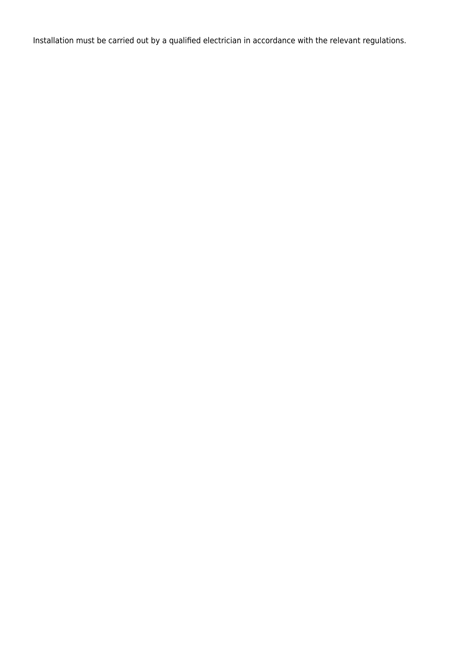Installation must be carried out by a qualified electrician in accordance with the relevant regulations.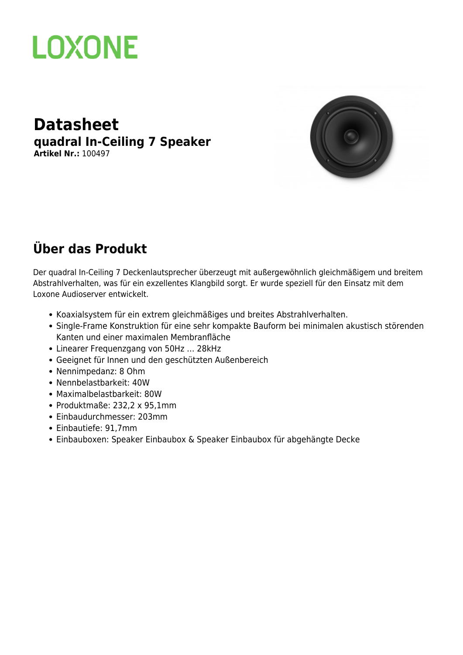

#### **Datasheet quadral In-Ceiling 7 Speaker Artikel Nr.:** 100497



### **Über das Produkt**

Der quadral In-Ceiling 7 Deckenlautsprecher überzeugt mit außergewöhnlich gleichmäßigem und breitem Abstrahlverhalten, was für ein exzellentes Klangbild sorgt. Er wurde speziell für den Einsatz mit dem [Loxone Audioserver](https://datasheets.loxone.com/dede/audioserver.html) entwickelt.

- Koaxialsystem für ein extrem gleichmäßiges und breites Abstrahlverhalten.
- Single-Frame Konstruktion für eine sehr kompakte Bauform bei minimalen akustisch störenden Kanten und einer maximalen Membranfläche
- Linearer Frequenzgang von 50Hz … 28kHz
- Geeignet für Innen und den geschützten Außenbereich
- Nennimpedanz: 8 Ohm
- Nennbelastbarkeit: 40W
- Maximalbelastbarkeit: 80W
- Produktmaße: 232,2 x 95,1mm
- Einbaudurchmesser: 203mm
- Einbautiefe: 91,7mm
- Einbauboxen: [Speaker Einbaubox](https://datasheets.loxone.com/dede/speaker-einbaubox.html) & [Speaker Einbaubox für abgehängte Decke](https://datasheets.loxone.com/dede/speaker-back-box.html)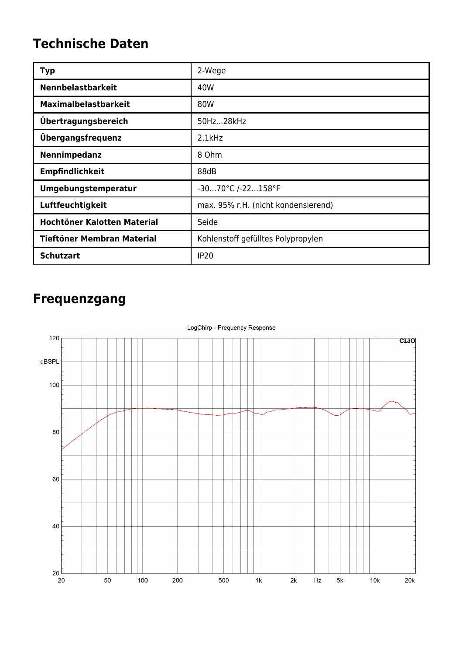### **Technische Daten**

| <b>Typ</b>                        | 2-Wege                              |
|-----------------------------------|-------------------------------------|
| <b>Nennbelastbarkeit</b>          | 40W                                 |
| <b>Maximalbelastbarkeit</b>       | 80W                                 |
| Übertragungsbereich               | 50Hz28kHz                           |
| Übergangsfrequenz                 | $2,1$ kHz                           |
| Nennimpedanz                      | 8 Ohm                               |
| <b>Empfindlichkeit</b>            | 88dB                                |
| Umgebungstemperatur               | -3070°C /-22158°F                   |
| Luftfeuchtigkeit                  | max. 95% r.H. (nicht kondensierend) |
| Hochtöner Kalotten Material       | Seide                               |
| <b>Tieftöner Membran Material</b> | Kohlenstoff gefülltes Polypropylen  |
| <b>Schutzart</b>                  | <b>IP20</b>                         |

### **Frequenzgang**

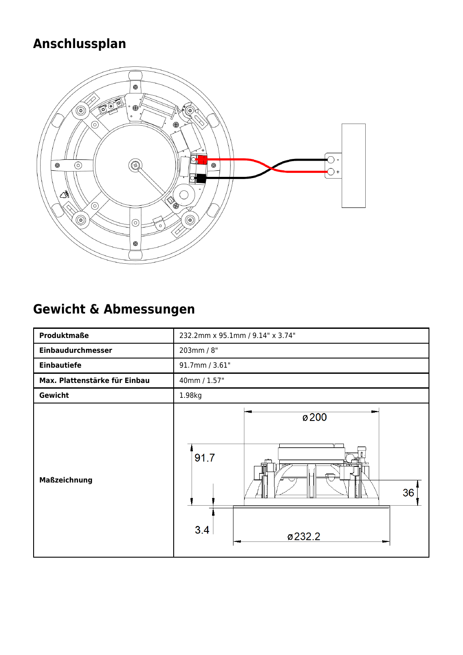# **Anschlussplan**



## **Gewicht & Abmessungen**

| Produktmaße                   | 232.2mm x 95.1mm / 9.14" x 3.74"                |
|-------------------------------|-------------------------------------------------|
| Einbaudurchmesser             | 203mm / 8"                                      |
| <b>Einbautiefe</b>            | 91.7mm / 3.61"                                  |
| Max. Plattenstärke für Einbau | 40mm / 1.57"                                    |
| Gewicht                       | 1.98kg                                          |
| <b>Maßzeichnung</b>           | Ø <sub>200</sub><br>91.7<br>36<br>3.4<br>ø232.2 |